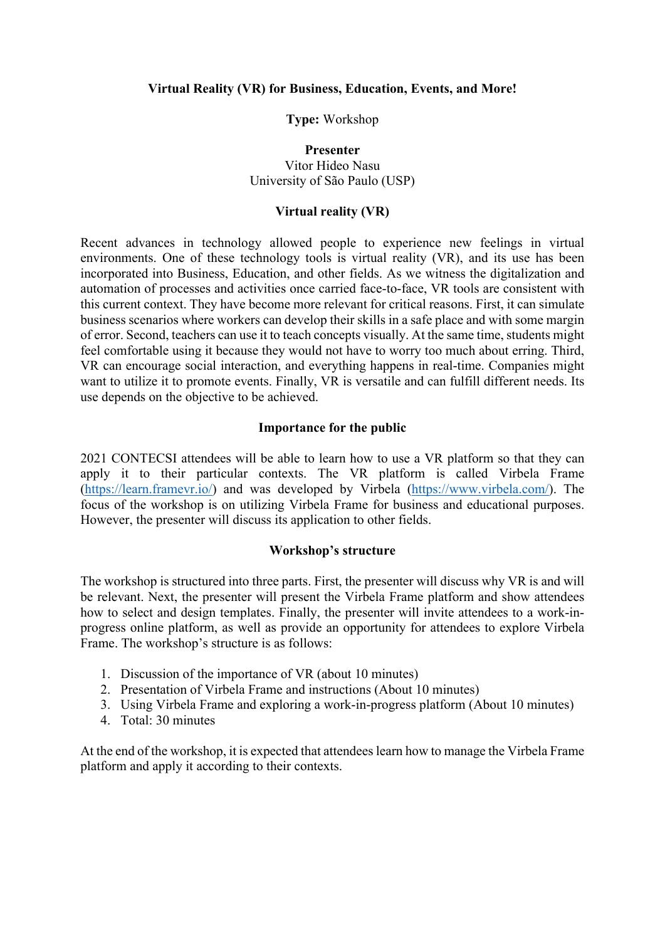### **Virtual Reality (VR) for Business, Education, Events, and More!**

**Type:** Workshop

**Presenter** Vitor Hideo Nasu University of São Paulo (USP)

### **Virtual reality (VR)**

Recent advances in technology allowed people to experience new feelings in virtual environments. One of these technology tools is virtual reality (VR), and its use has been incorporated into Business, Education, and other fields. As we witness the digitalization and automation of processes and activities once carried face-to-face, VR tools are consistent with this current context. They have become more relevant for critical reasons. First, it can simulate business scenarios where workers can develop their skills in a safe place and with some margin of error. Second, teachers can use it to teach concepts visually. At the same time, students might feel comfortable using it because they would not have to worry too much about erring. Third, VR can encourage social interaction, and everything happens in real-time. Companies might want to utilize it to promote events. Finally, VR is versatile and can fulfill different needs. Its use depends on the objective to be achieved.

### **Importance for the public**

2021 CONTECSI attendees will be able to learn how to use a VR platform so that they can apply it to their particular contexts. The VR platform is called Virbela Frame [\(https://learn.framevr.io/\)](https://learn.framevr.io/) and was developed by Virbela [\(https://www.virbela.com/\)](https://www.virbela.com/). The focus of the workshop is on utilizing Virbela Frame for business and educational purposes. However, the presenter will discuss its application to other fields.

#### **Workshop's structure**

The workshop is structured into three parts. First, the presenter will discuss why VR is and will be relevant. Next, the presenter will present the Virbela Frame platform and show attendees how to select and design templates. Finally, the presenter will invite attendees to a work-inprogress online platform, as well as provide an opportunity for attendees to explore Virbela Frame. The workshop's structure is as follows:

- 1. Discussion of the importance of VR (about 10 minutes)
- 2. Presentation of Virbela Frame and instructions (About 10 minutes)
- 3. Using Virbela Frame and exploring a work-in-progress platform (About 10 minutes)
- 4. Total: 30 minutes

At the end of the workshop, it is expected that attendees learn how to manage the Virbela Frame platform and apply it according to their contexts.